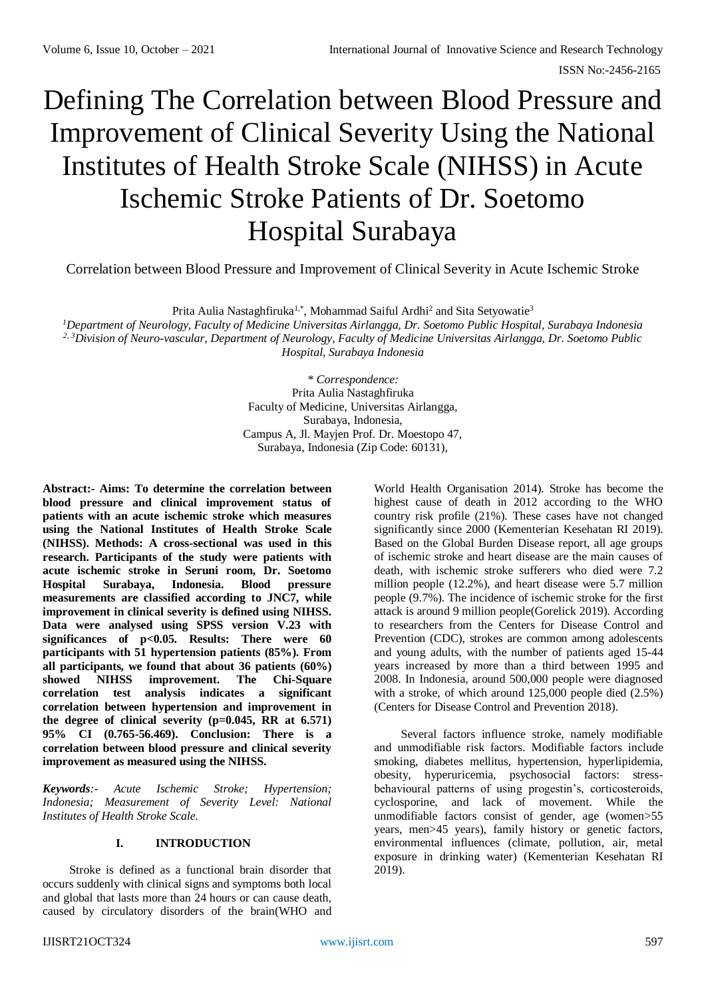# Defining The Correlation between Blood Pressure and Improvement of Clinical Severity Using the National Institutes of Health Stroke Scale (NIHSS) in Acute Ischemic Stroke Patients of Dr. Soetomo Hospital Surabaya

Correlation between Blood Pressure and Improvement of Clinical Severity in Acute Ischemic Stroke

Prita Aulia Nastaghfiruka<sup>1,\*</sup>, Mohammad Saiful Ardhi<sup>2</sup> and Sita Setyowatie<sup>3</sup>

*<sup>1</sup>Department of Neurology, Faculty of Medicine Universitas Airlangga, Dr. Soetomo Public Hospital, Surabaya Indonesia 2, 3Division of Neuro-vascular, Department of Neurology, Faculty of Medicine Universitas Airlangga, Dr. Soetomo Public Hospital, Surabaya Indonesia*

> *\* Correspondence:* Prita Aulia Nastaghfiruka Faculty of Medicine, Universitas Airlangga, Surabaya, Indonesia, Campus A, Jl. Mayjen Prof. Dr. Moestopo 47, Surabaya, Indonesia (Zip Code: 60131),

**Abstract:- Aims: To determine the correlation between blood pressure and clinical improvement status of patients with an acute ischemic stroke which measures using the National Institutes of Health Stroke Scale (NIHSS). Methods: A cross-sectional was used in this research. Participants of the study were patients with acute ischemic stroke in Seruni room, Dr. Soetomo Hospital Surabaya, Indonesia. Blood pressure measurements are classified according to JNC7, while improvement in clinical severity is defined using NIHSS. Data were analysed using SPSS version V.23 with significances of p<0.05. Results: There were 60 participants with 51 hypertension patients (85%). From all participants, we found that about 36 patients (60%) showed NIHSS improvement. The Chi-Square correlation test analysis indicates a significant correlation between hypertension and improvement in the degree of clinical severity (p=0.045, RR at 6.571) 95% CI (0.765-56.469). Conclusion: There is a correlation between blood pressure and clinical severity improvement as measured using the NIHSS.**

*Keywords:- Acute Ischemic Stroke; Hypertension; Indonesia; Measurement of Severity Level: National Institutes of Health Stroke Scale.*

# **I. INTRODUCTION**

Stroke is defined as a functional brain disorder that occurs suddenly with clinical signs and symptoms both local and global that lasts more than 24 hours or can cause death, caused by circulatory disorders of the brain(WHO and World Health Organisation 2014). Stroke has become the highest cause of death in 2012 according to the WHO country risk profile (21%). These cases have not changed significantly since 2000 (Kementerian Kesehatan RI 2019). Based on the Global Burden Disease report, all age groups of ischemic stroke and heart disease are the main causes of death, with ischemic stroke sufferers who died were 7.2 million people (12.2%), and heart disease were 5.7 million people (9.7%). The incidence of ischemic stroke for the first attack is around 9 million people(Gorelick 2019). According to researchers from the Centers for Disease Control and Prevention (CDC), strokes are common among adolescents and young adults, with the number of patients aged 15-44 years increased by more than a third between 1995 and 2008. In Indonesia, around 500,000 people were diagnosed with a stroke, of which around  $125,000$  people died  $(2.5%)$ (Centers for Disease Control and Prevention 2018).

Several factors influence stroke, namely modifiable and unmodifiable risk factors. Modifiable factors include smoking, diabetes mellitus, hypertension, hyperlipidemia, obesity, hyperuricemia, psychosocial factors: stressbehavioural patterns of using progestin's, corticosteroids, cyclosporine, and lack of movement. While the unmodifiable factors consist of gender, age (women>55 years, men>45 years), family history or genetic factors, environmental influences (climate, pollution, air, metal exposure in drinking water) (Kementerian Kesehatan RI 2019).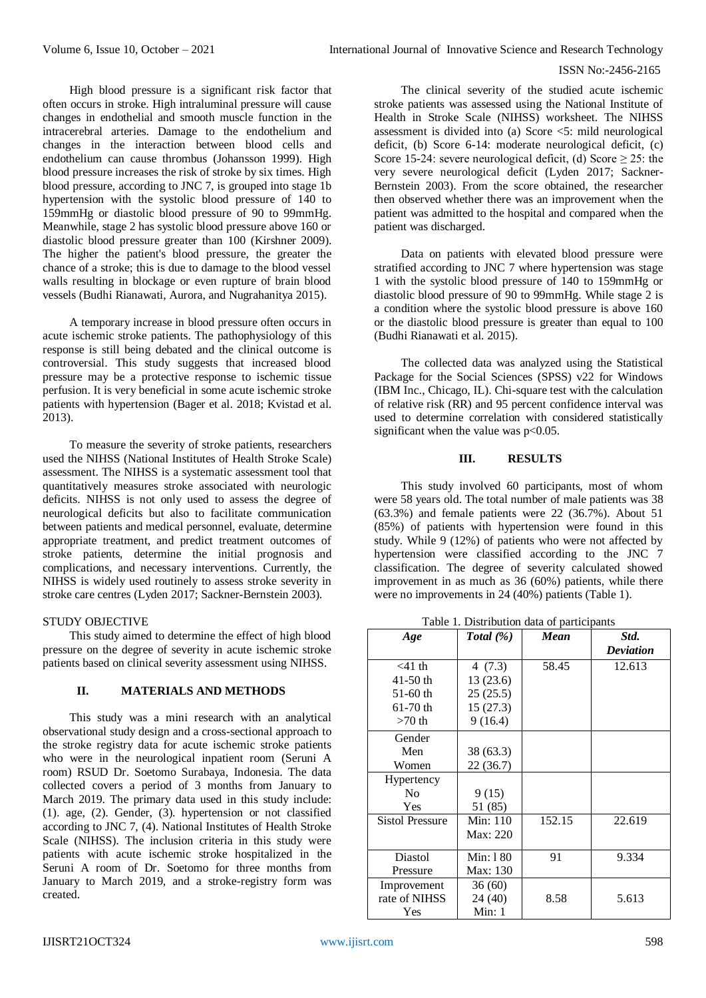### ISSN No:-2456-2165

High blood pressure is a significant risk factor that often occurs in stroke. High intraluminal pressure will cause changes in endothelial and smooth muscle function in the intracerebral arteries. Damage to the endothelium and changes in the interaction between blood cells and endothelium can cause thrombus (Johansson 1999). High blood pressure increases the risk of stroke by six times. High blood pressure, according to JNC 7, is grouped into stage 1b hypertension with the systolic blood pressure of 140 to 159mmHg or diastolic blood pressure of 90 to 99mmHg. Meanwhile, stage 2 has systolic blood pressure above 160 or diastolic blood pressure greater than 100 (Kirshner 2009). The higher the patient's blood pressure, the greater the chance of a stroke; this is due to damage to the blood vessel walls resulting in blockage or even rupture of brain blood vessels (Budhi Rianawati, Aurora, and Nugrahanitya 2015).

A temporary increase in blood pressure often occurs in acute ischemic stroke patients. The pathophysiology of this response is still being debated and the clinical outcome is controversial. This study suggests that increased blood pressure may be a protective response to ischemic tissue perfusion. It is very beneficial in some acute ischemic stroke patients with hypertension (Bager et al. 2018; Kvistad et al. 2013).

To measure the severity of stroke patients, researchers used the NIHSS (National Institutes of Health Stroke Scale) assessment. The NIHSS is a systematic assessment tool that quantitatively measures stroke associated with neurologic deficits. NIHSS is not only used to assess the degree of neurological deficits but also to facilitate communication between patients and medical personnel, evaluate, determine appropriate treatment, and predict treatment outcomes of stroke patients, determine the initial prognosis and complications, and necessary interventions. Currently, the NIHSS is widely used routinely to assess stroke severity in stroke care centres (Lyden 2017; Sackner-Bernstein 2003).

## STUDY OBJECTIVE

This study aimed to determine the effect of high blood pressure on the degree of severity in acute ischemic stroke patients based on clinical severity assessment using NIHSS.

## **II. MATERIALS AND METHODS**

This study was a mini research with an analytical observational study design and a cross-sectional approach to the stroke registry data for acute ischemic stroke patients who were in the neurological inpatient room (Seruni A room) RSUD Dr. Soetomo Surabaya, Indonesia. The data collected covers a period of 3 months from January to March 2019. The primary data used in this study include: (1). age, (2). Gender, (3). hypertension or not classified according to JNC 7, (4). National Institutes of Health Stroke Scale (NIHSS). The inclusion criteria in this study were patients with acute ischemic stroke hospitalized in the Seruni A room of Dr. Soetomo for three months from January to March 2019, and a stroke-registry form was created.

The clinical severity of the studied acute ischemic stroke patients was assessed using the National Institute of Health in Stroke Scale (NIHSS) worksheet. The NIHSS assessment is divided into (a) Score <5: mild neurological deficit, (b) Score 6-14: moderate neurological deficit, (c) Score 15-24: severe neurological deficit, (d) Score  $\geq$  25: the very severe neurological deficit (Lyden 2017; Sackner-Bernstein 2003). From the score obtained, the researcher then observed whether there was an improvement when the patient was admitted to the hospital and compared when the patient was discharged.

Data on patients with elevated blood pressure were stratified according to JNC 7 where hypertension was stage 1 with the systolic blood pressure of 140 to 159mmHg or diastolic blood pressure of 90 to 99mmHg. While stage 2 is a condition where the systolic blood pressure is above 160 or the diastolic blood pressure is greater than equal to 100 (Budhi Rianawati et al. 2015).

The collected data was analyzed using the Statistical Package for the Social Sciences (SPSS) v22 for Windows (IBM Inc., Chicago, IL). Chi-square test with the calculation of relative risk (RR) and 95 percent confidence interval was used to determine correlation with considered statistically significant when the value was p<0.05.

### **III. RESULTS**

This study involved 60 participants, most of whom were 58 years old. The total number of male patients was 38  $(63.3\%)$  and female patients were 22  $(36.7\%)$ . About 51 (85%) of patients with hypertension were found in this study. While 9 (12%) of patients who were not affected by hypertension were classified according to the JNC 7 classification. The degree of severity calculated showed improvement in as much as 36 (60%) patients, while there were no improvements in 24 (40%) patients (Table 1).

Table 1. Distribution data of participants

| Age                    | Total $(\%)$ | Mean   | Std.<br><b>Deviation</b> |  |
|------------------------|--------------|--------|--------------------------|--|
|                        |              |        |                          |  |
| $<$ 41 th              | 4(7.3)       | 58.45  | 12.613                   |  |
| 41-50 th               | 13 (23.6)    |        |                          |  |
| $51-60$ th             | 25(25.5)     |        |                          |  |
| $61-70$ th             | 15(27.3)     |        |                          |  |
| $>70$ th               | 9(16.4)      |        |                          |  |
| Gender                 |              |        |                          |  |
| Men                    | 38 (63.3)    |        |                          |  |
| Women                  | 22 (36.7)    |        |                          |  |
| Hypertency             |              |        |                          |  |
| N <sub>0</sub>         | 9(15)        |        |                          |  |
| Yes                    | 51 (85)      |        |                          |  |
| <b>Sistol Pressure</b> | Min: 110     | 152.15 | 22.619                   |  |
|                        | Max: 220     |        |                          |  |
| Diastol                | Min: 180     | 91     | 9.334                    |  |
| Pressure               | Max: 130     |        |                          |  |
| Improvement            | 36(60)       |        |                          |  |
| rate of NIHSS          | 24 (40)      | 8.58   | 5.613                    |  |
| Yes                    | Min: 1       |        |                          |  |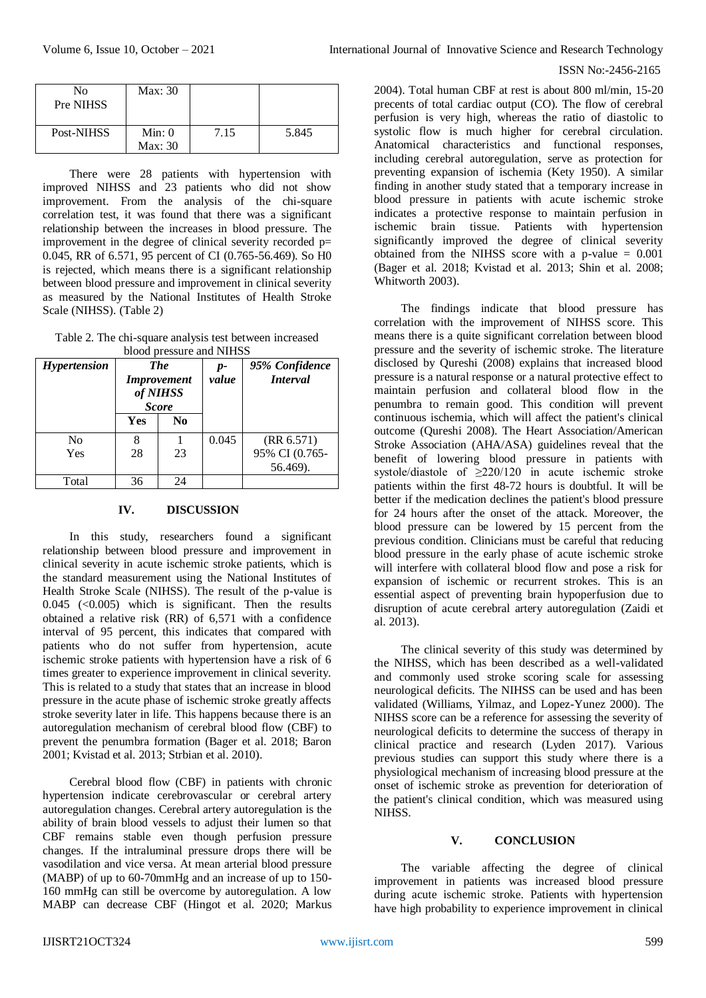| No<br>Pre NIHSS | Max: 30           |      |       |
|-----------------|-------------------|------|-------|
| Post-NIHSS      | Min: 0<br>Max: 30 | 7.15 | 5.845 |

There were 28 patients with hypertension with improved NIHSS and 23 patients who did not show improvement. From the analysis of the chi-square correlation test, it was found that there was a significant relationship between the increases in blood pressure. The improvement in the degree of clinical severity recorded p= 0.045, RR of 6.571, 95 percent of CI (0.765-56.469). So H0 is rejected, which means there is a significant relationship between blood pressure and improvement in clinical severity as measured by the National Institutes of Health Stroke Scale (NIHSS). (Table 2)

Table 2. The chi-square analysis test between increased blood pressure and NIHSS

| proper pressure and influent |                                                              |    |               |                                   |  |  |  |  |
|------------------------------|--------------------------------------------------------------|----|---------------|-----------------------------------|--|--|--|--|
| <i>Hypertension</i>          | <b>The</b><br><i>Improvement</i><br>of NIHSS<br><b>Score</b> |    | $p-$<br>value | 95% Confidence<br><i>Interval</i> |  |  |  |  |
|                              | Yes                                                          | No |               |                                   |  |  |  |  |
| N <sub>0</sub>               |                                                              |    | 0.045         | (RR 6.571)                        |  |  |  |  |
| Yes                          | 28                                                           | 23 |               | 95% CI (0.765-                    |  |  |  |  |
|                              |                                                              |    |               | 56.469).                          |  |  |  |  |
| Total                        | 36                                                           | 24 |               |                                   |  |  |  |  |

#### **IV. DISCUSSION**

In this study, researchers found a significant relationship between blood pressure and improvement in clinical severity in acute ischemic stroke patients, which is the standard measurement using the National Institutes of Health Stroke Scale (NIHSS). The result of the p-value is  $0.045$  (<0.005) which is significant. Then the results obtained a relative risk (RR) of 6,571 with a confidence interval of 95 percent, this indicates that compared with patients who do not suffer from hypertension, acute ischemic stroke patients with hypertension have a risk of 6 times greater to experience improvement in clinical severity. This is related to a study that states that an increase in blood pressure in the acute phase of ischemic stroke greatly affects stroke severity later in life. This happens because there is an autoregulation mechanism of cerebral blood flow (CBF) to prevent the penumbra formation (Bager et al. 2018; Baron 2001; Kvistad et al. 2013; Strbian et al. 2010).

Cerebral blood flow (CBF) in patients with chronic hypertension indicate cerebrovascular or cerebral artery autoregulation changes. Cerebral artery autoregulation is the ability of brain blood vessels to adjust their lumen so that CBF remains stable even though perfusion pressure changes. If the intraluminal pressure drops there will be vasodilation and vice versa. At mean arterial blood pressure (MABP) of up to 60-70mmHg and an increase of up to 150- 160 mmHg can still be overcome by autoregulation. A low MABP can decrease CBF (Hingot et al. 2020; Markus

#### ISSN No:-2456-2165

2004). Total human CBF at rest is about 800 ml/min, 15-20 precents of total cardiac output (CO). The flow of cerebral perfusion is very high, whereas the ratio of diastolic to systolic flow is much higher for cerebral circulation. Anatomical characteristics and functional responses, including cerebral autoregulation, serve as protection for preventing expansion of ischemia (Kety 1950). A similar finding in another study stated that a temporary increase in blood pressure in patients with acute ischemic stroke indicates a protective response to maintain perfusion in ischemic brain tissue. Patients with hypertension significantly improved the degree of clinical severity obtained from the NIHSS score with a p-value  $= 0.001$ (Bager et al. 2018; Kvistad et al. 2013; Shin et al. 2008; Whitworth 2003).

The findings indicate that blood pressure has correlation with the improvement of NIHSS score. This means there is a quite significant correlation between blood pressure and the severity of ischemic stroke. The literature disclosed by Qureshi (2008) explains that increased blood pressure is a natural response or a natural protective effect to maintain perfusion and collateral blood flow in the penumbra to remain good. This condition will prevent continuous ischemia, which will affect the patient's clinical outcome (Qureshi 2008). The Heart Association/American Stroke Association (AHA/ASA) guidelines reveal that the benefit of lowering blood pressure in patients with systole/diastole of ≥220/120 in acute ischemic stroke patients within the first 48-72 hours is doubtful. It will be better if the medication declines the patient's blood pressure for 24 hours after the onset of the attack. Moreover, the blood pressure can be lowered by 15 percent from the previous condition. Clinicians must be careful that reducing blood pressure in the early phase of acute ischemic stroke will interfere with collateral blood flow and pose a risk for expansion of ischemic or recurrent strokes. This is an essential aspect of preventing brain hypoperfusion due to disruption of acute cerebral artery autoregulation (Zaidi et al. 2013).

The clinical severity of this study was determined by the NIHSS, which has been described as a well-validated and commonly used stroke scoring scale for assessing neurological deficits. The NIHSS can be used and has been validated (Williams, Yilmaz, and Lopez-Yunez 2000). The NIHSS score can be a reference for assessing the severity of neurological deficits to determine the success of therapy in clinical practice and research (Lyden 2017). Various previous studies can support this study where there is a physiological mechanism of increasing blood pressure at the onset of ischemic stroke as prevention for deterioration of the patient's clinical condition, which was measured using NIHSS.

# **V. CONCLUSION**

The variable affecting the degree of clinical improvement in patients was increased blood pressure during acute ischemic stroke. Patients with hypertension have high probability to experience improvement in clinical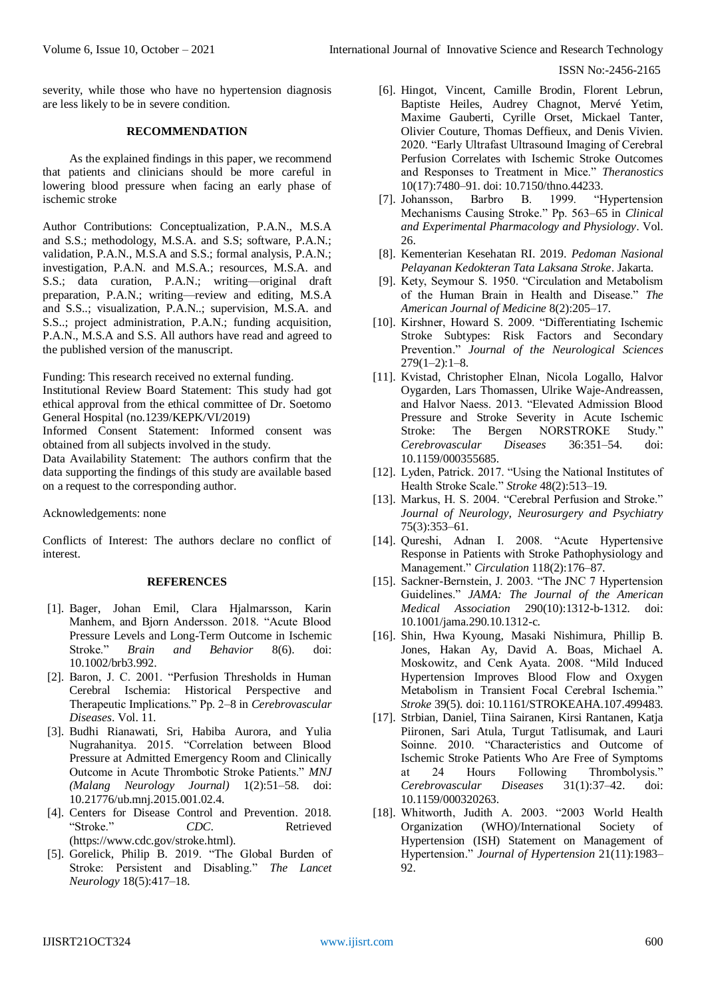ISSN No:-2456-2165

severity, while those who have no hypertension diagnosis are less likely to be in severe condition.

## **RECOMMENDATION**

As the explained findings in this paper, we recommend that patients and clinicians should be more careful in lowering blood pressure when facing an early phase of ischemic stroke

Author Contributions: Conceptualization, P.A.N., M.S.A and S.S.; methodology, M.S.A. and S.S; software, P.A.N.; validation, P.A.N., M.S.A and S.S.; formal analysis, P.A.N.; investigation, P.A.N. and M.S.A.; resources, M.S.A. and S.S.; data curation, P.A.N.; writing—original draft preparation, P.A.N.; writing—review and editing, M.S.A and S.S..; visualization, P.A.N..; supervision, M.S.A. and S.S..; project administration, P.A.N.; funding acquisition, P.A.N., M.S.A and S.S. All authors have read and agreed to the published version of the manuscript.

Funding: This research received no external funding.

Institutional Review Board Statement: This study had got ethical approval from the ethical committee of Dr. Soetomo General Hospital (no.1239/KEPK/VI/2019)

Informed Consent Statement: Informed consent was obtained from all subjects involved in the study.

Data Availability Statement: The authors confirm that the data supporting the findings of this study are available based on a request to the corresponding author.

Acknowledgements: none

Conflicts of Interest: The authors declare no conflict of interest.

## **REFERENCES**

- [1]. Bager, Johan Emil, Clara Hjalmarsson, Karin Manhem, and Bjorn Andersson. 2018. "Acute Blood Pressure Levels and Long-Term Outcome in Ischemic Stroke." *Brain and Behavior* 8(6). doi: 10.1002/brb3.992.
- [2]. Baron, J. C. 2001. "Perfusion Thresholds in Human Cerebral Ischemia: Historical Perspective and Therapeutic Implications." Pp. 2–8 in *Cerebrovascular Diseases*. Vol. 11.
- [3]. Budhi Rianawati, Sri, Habiba Aurora, and Yulia Nugrahanitya. 2015. "Correlation between Blood Pressure at Admitted Emergency Room and Clinically Outcome in Acute Thrombotic Stroke Patients." *MNJ (Malang Neurology Journal)* 1(2):51–58. doi: 10.21776/ub.mnj.2015.001.02.4.
- [4]. Centers for Disease Control and Prevention. 2018. "Stroke." *CDC*. Retrieved (https://www.cdc.gov/stroke.html).
- [5]. Gorelick, Philip B. 2019. "The Global Burden of Stroke: Persistent and Disabling." *The Lancet Neurology* 18(5):417–18.
- [6]. Hingot, Vincent, Camille Brodin, Florent Lebrun, Baptiste Heiles, Audrey Chagnot, Mervé Yetim, Maxime Gauberti, Cyrille Orset, Mickael Tanter, Olivier Couture, Thomas Deffieux, and Denis Vivien. 2020. "Early Ultrafast Ultrasound Imaging of Cerebral Perfusion Correlates with Ischemic Stroke Outcomes and Responses to Treatment in Mice." *Theranostics* 10(17):7480–91. doi: 10.7150/thno.44233.
- [7]. Johansson, Barbro B. 1999. "Hypertension Mechanisms Causing Stroke." Pp. 563–65 in *Clinical and Experimental Pharmacology and Physiology*. Vol. 26.
- [8]. Kementerian Kesehatan RI. 2019. *Pedoman Nasional Pelayanan Kedokteran Tata Laksana Stroke*. Jakarta.
- [9]. Kety, Seymour S. 1950. "Circulation and Metabolism of the Human Brain in Health and Disease." *The American Journal of Medicine* 8(2):205–17.
- [10]. Kirshner, Howard S. 2009. "Differentiating Ischemic Stroke Subtypes: Risk Factors and Secondary Prevention." *Journal of the Neurological Sciences*  $279(1-2):1-8.$
- [11]. Kvistad, Christopher Elnan, Nicola Logallo, Halvor Oygarden, Lars Thomassen, Ulrike Waje-Andreassen, and Halvor Naess. 2013. "Elevated Admission Blood Pressure and Stroke Severity in Acute Ischemic Stroke: The Bergen NORSTROKE Study." *Cerebrovascular Diseases* 36:351–54. doi: 10.1159/000355685.
- [12]. Lyden, Patrick. 2017. "Using the National Institutes of Health Stroke Scale." *Stroke* 48(2):513–19.
- [13]. Markus, H. S. 2004. "Cerebral Perfusion and Stroke." *Journal of Neurology, Neurosurgery and Psychiatry* 75(3):353–61.
- [14]. Qureshi, Adnan I. 2008. "Acute Hypertensive Response in Patients with Stroke Pathophysiology and Management." *Circulation* 118(2):176–87.
- [15]. Sackner-Bernstein, J. 2003. "The JNC 7 Hypertension Guidelines." *JAMA: The Journal of the American Medical Association* 290(10):1312-b-1312. doi: 10.1001/jama.290.10.1312-c.
- [16]. Shin, Hwa Kyoung, Masaki Nishimura, Phillip B. Jones, Hakan Ay, David A. Boas, Michael A. Moskowitz, and Cenk Ayata. 2008. "Mild Induced Hypertension Improves Blood Flow and Oxygen Metabolism in Transient Focal Cerebral Ischemia." *Stroke* 39(5). doi: 10.1161/STROKEAHA.107.499483.
- [17]. Strbian, Daniel, Tiina Sairanen, Kirsi Rantanen, Katja Piironen, Sari Atula, Turgut Tatlisumak, and Lauri Soinne. 2010. "Characteristics and Outcome of Ischemic Stroke Patients Who Are Free of Symptoms at 24 Hours Following Thrombolysis." *Cerebrovascular Diseases* 31(1):37–42. doi: 10.1159/000320263.
- [18]. Whitworth, Judith A. 2003. "2003 World Health Organization (WHO)/International Society of Hypertension (ISH) Statement on Management of Hypertension." *Journal of Hypertension* 21(11):1983– 92.